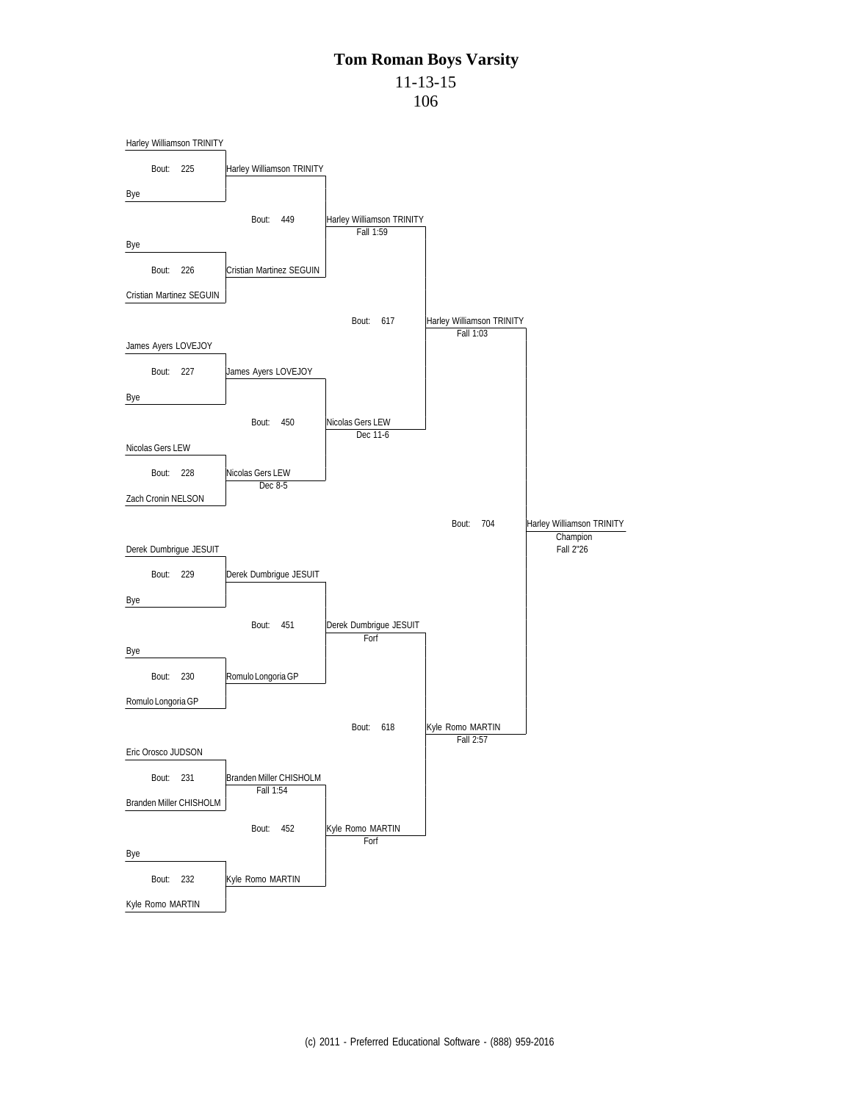# **Tom Roman Boys Varsity** 11-13-15

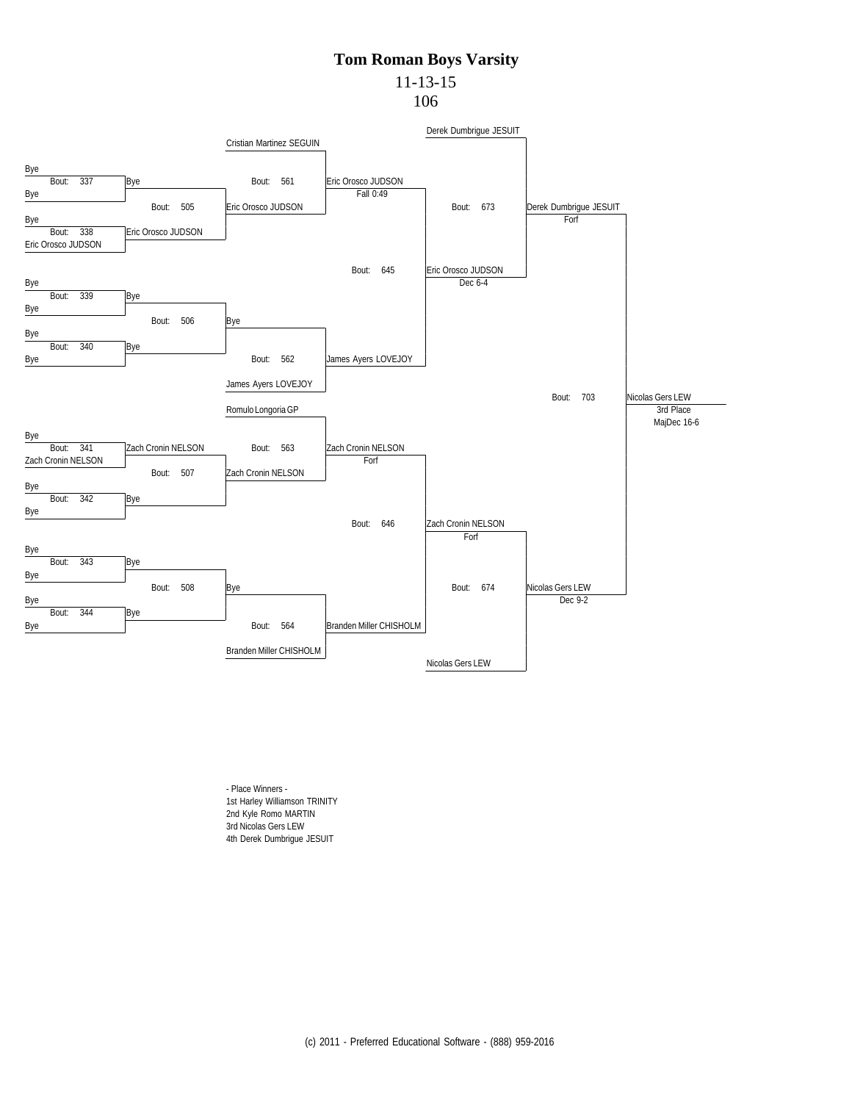11-13-15

106



- Place Winners - 1st Harley Williamson TRINITY 2nd Kyle Romo MARTIN 3rd Nicolas Gers LEW 4th Derek Dumbrigue JESUIT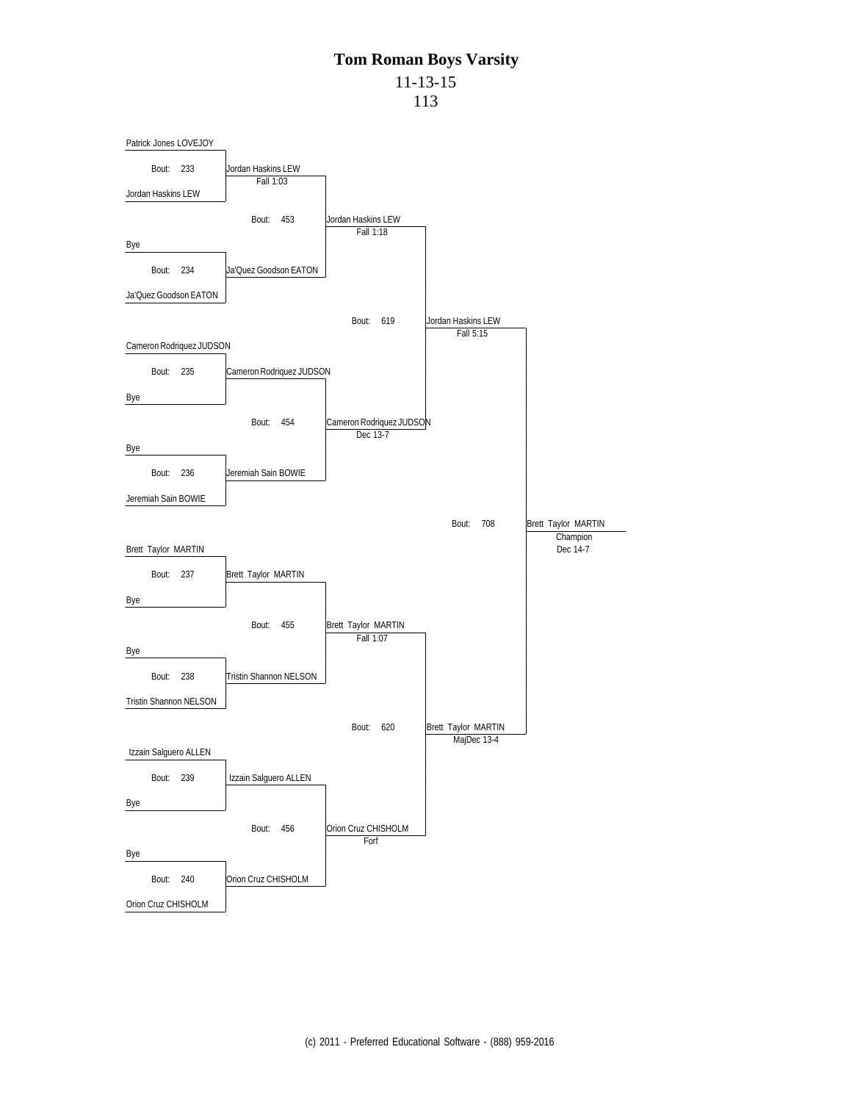# **Tom Roman Boys Varsity** 11-13-15

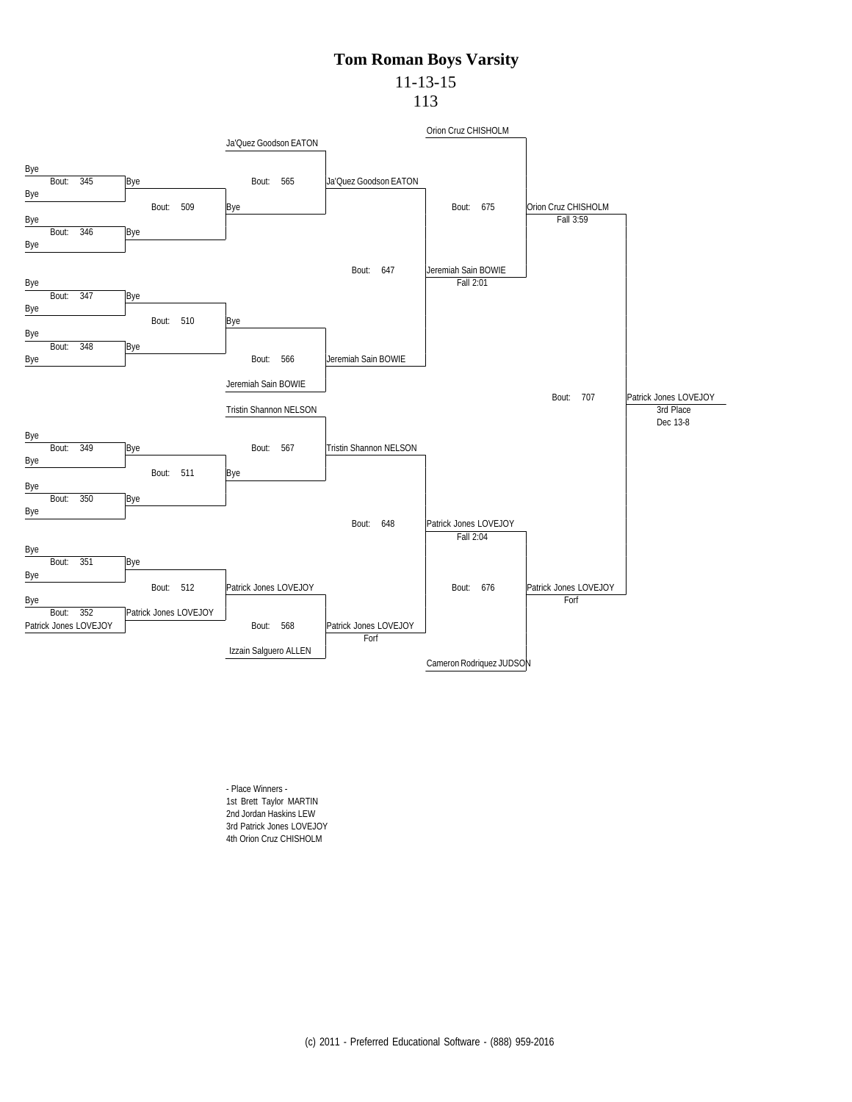#### **Tom Roman Boys Varsity** 11-13-15

113



- Place Winners - 1st Brett Taylor MARTIN 2nd Jordan Haskins LEW 3rd Patrick Jones LOVEJOY 4th Orion Cruz CHISHOLM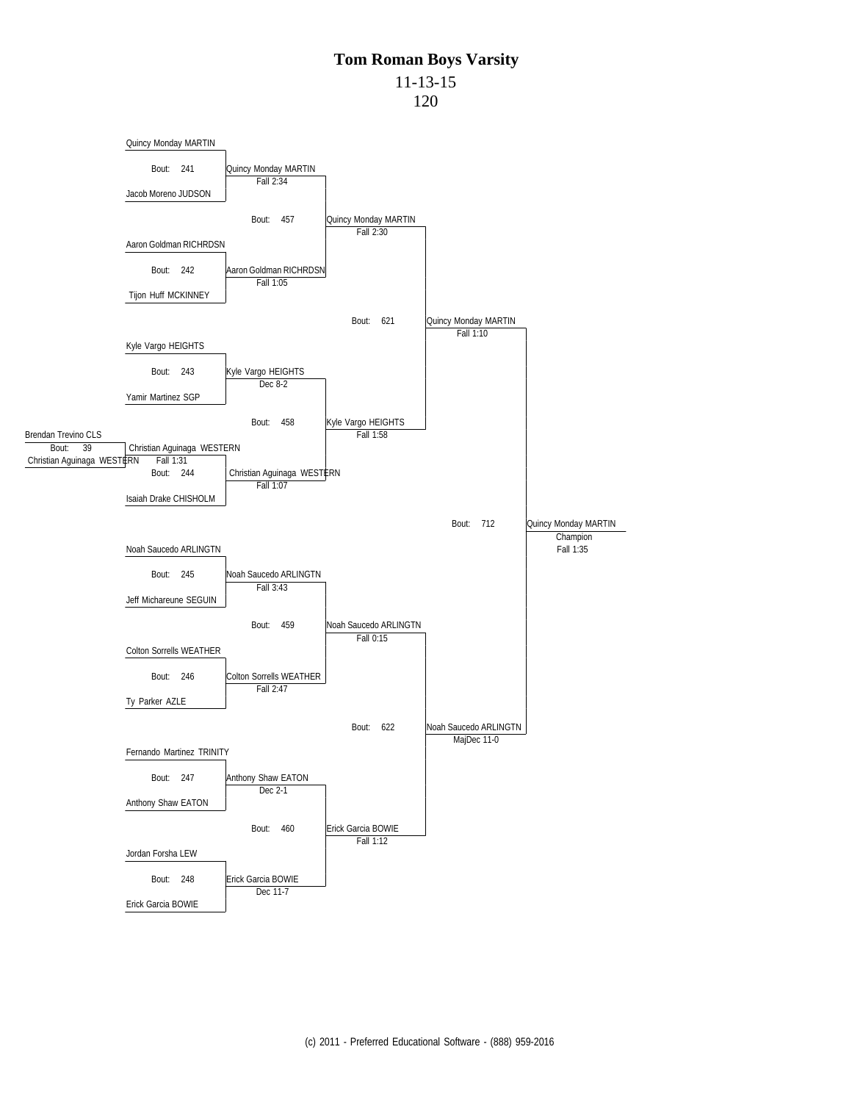11-13-15

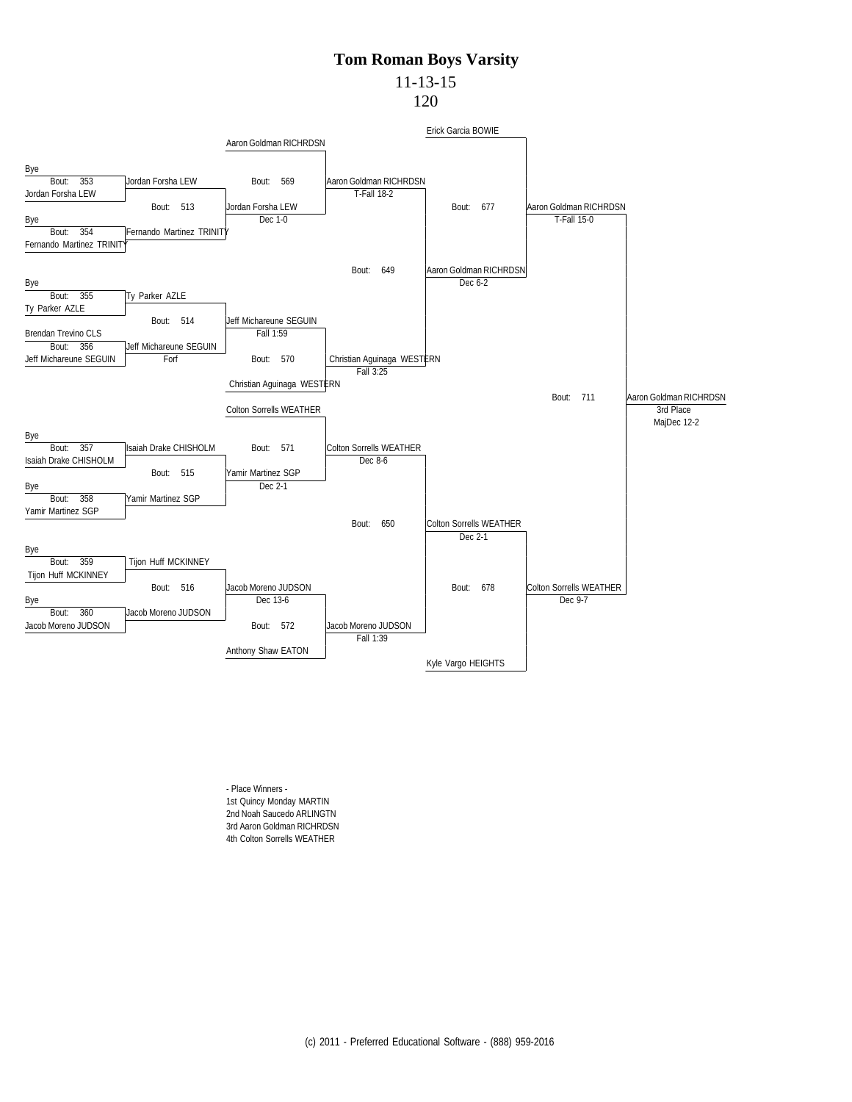### 11-13-15

120



- Place Winners - 1st Quincy Monday MARTIN 2nd Noah Saucedo ARLINGTN 3rd Aaron Goldman RICHRDSN 4th Colton Sorrells WEATHER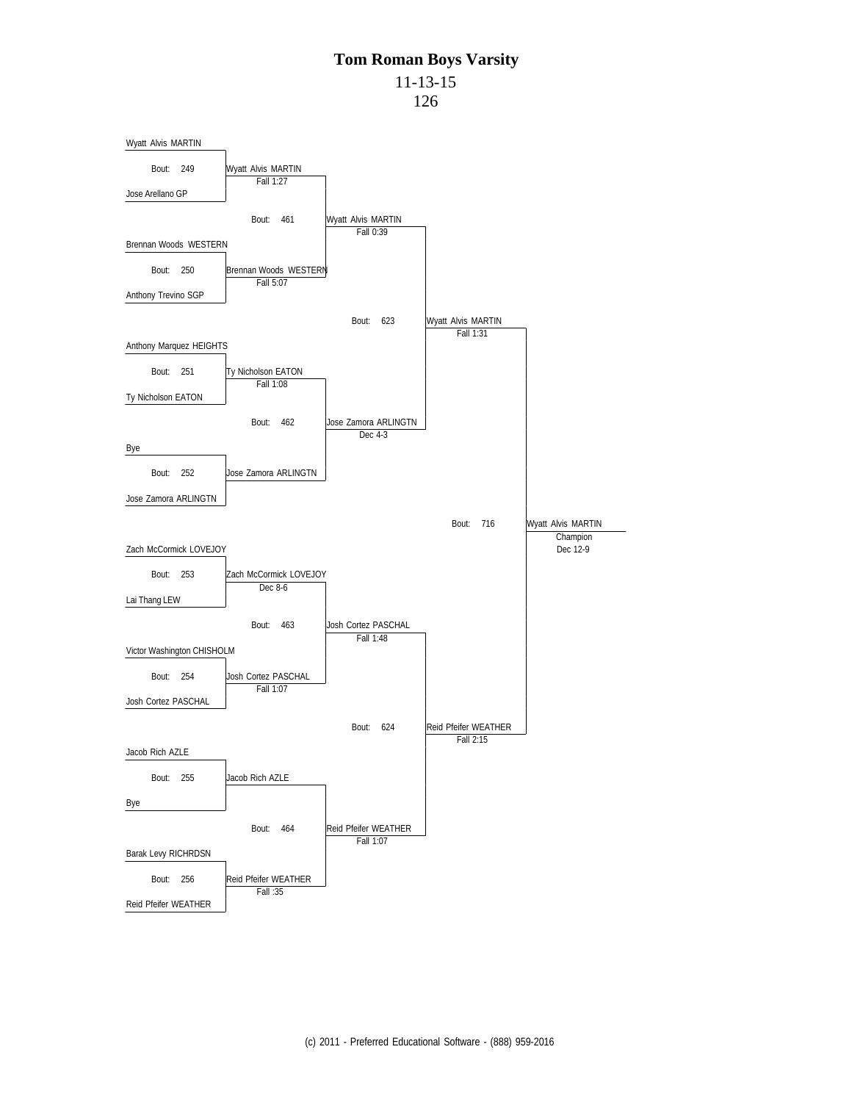11-13-15

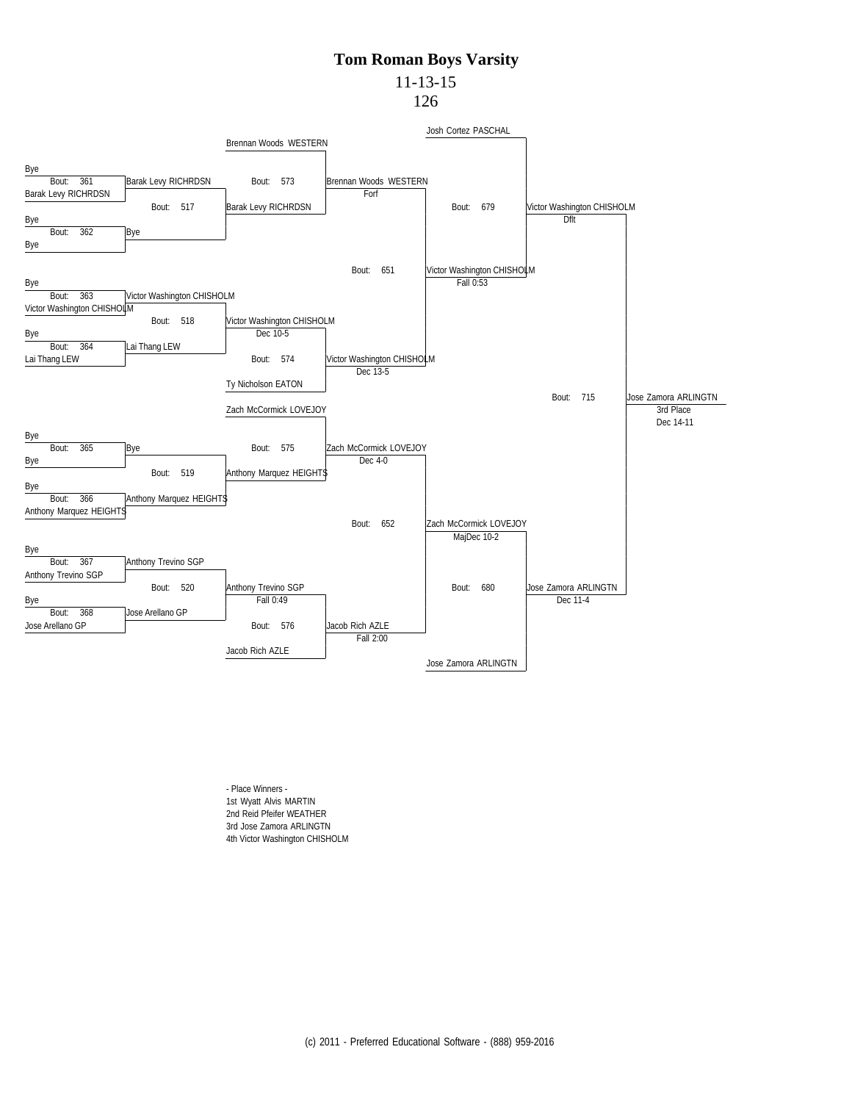## 11-13-15

126



- Place Winners - 1st Wyatt Alvis MARTIN 2nd Reid Pfeifer WEATHER 3rd Jose Zamora ARLINGTN 4th Victor Washington CHISHOLM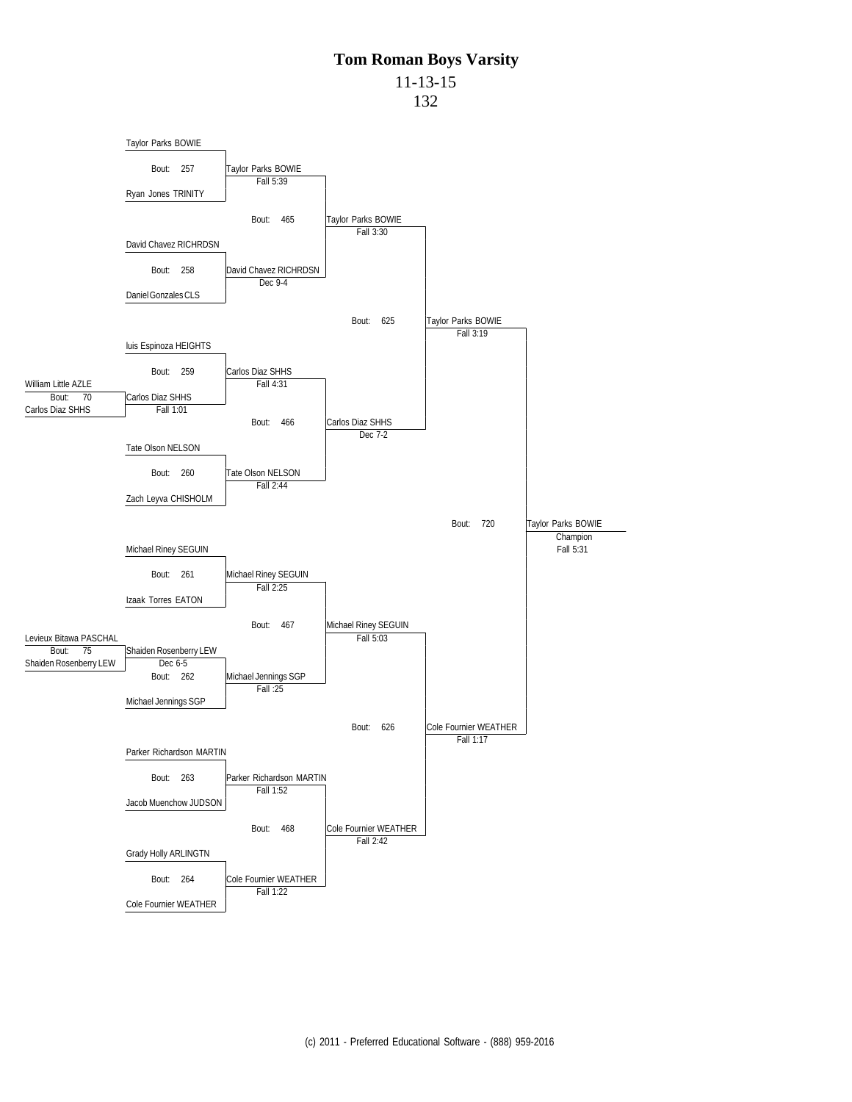11-13-15

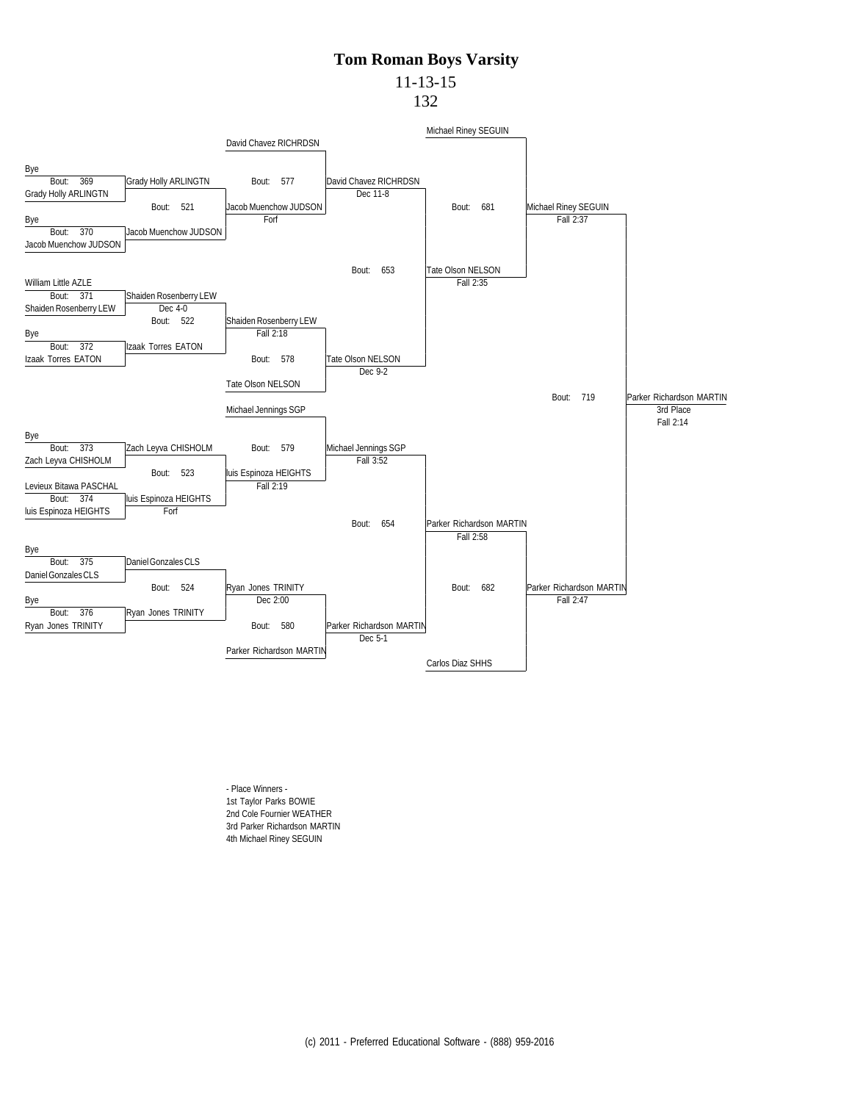## 11-13-15

132



- Place Winners - 1st Taylor Parks BOWIE 2nd Cole Fournier WEATHER 3rd Parker Richardson MARTIN 4th Michael Riney SEGUIN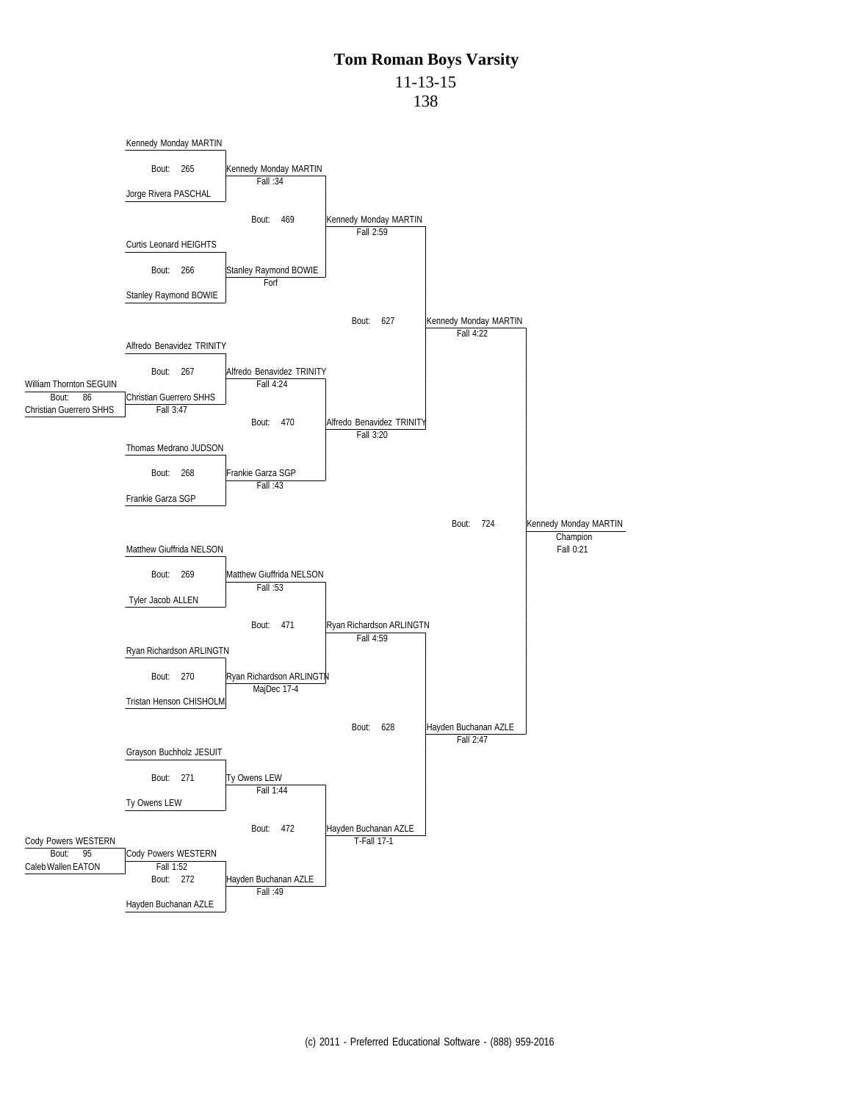11-13-15

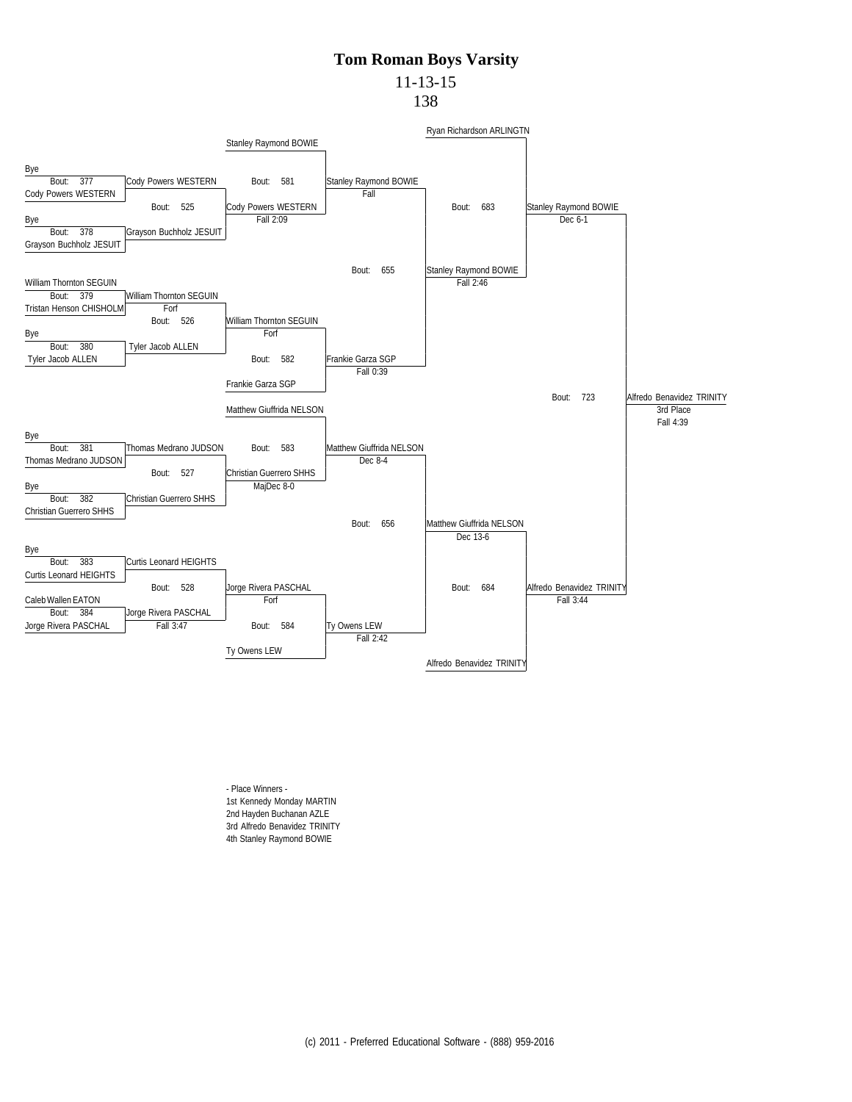# 11-13-15

138



- Place Winners - 1st Kennedy Monday MARTIN 2nd Hayden Buchanan AZLE 3rd Alfredo Benavidez TRINITY 4th Stanley Raymond BOWIE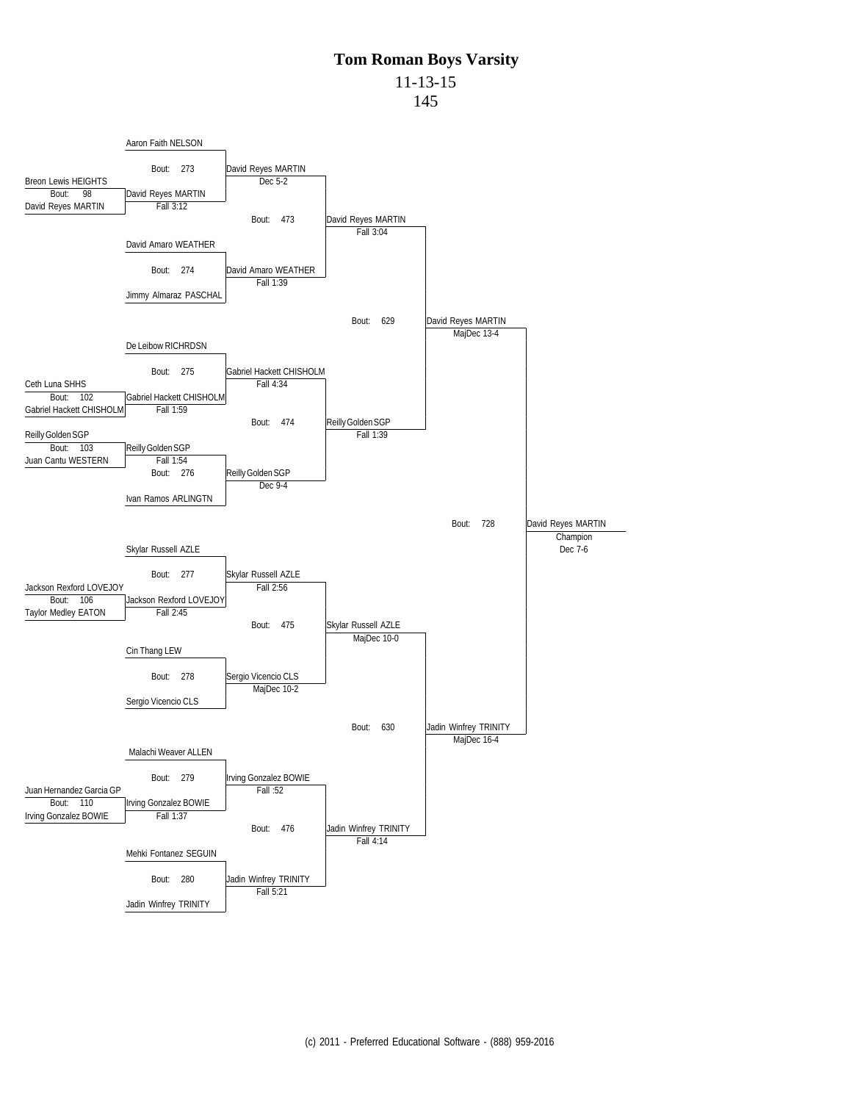11-13-15

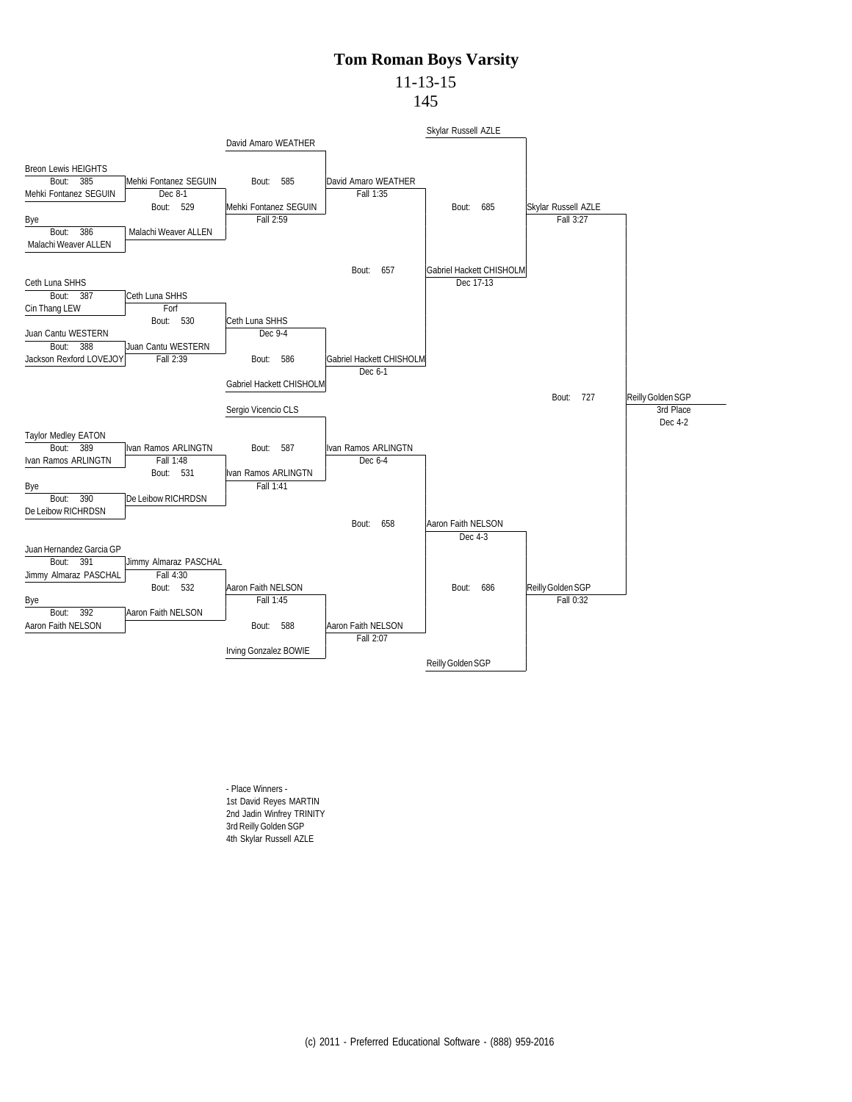## 11-13-15

145



- Place Winners - 1st David Reyes MARTIN 2nd Jadin Winfrey TRINITY 3rd Reilly Golden SGP 4th Skylar Russell AZLE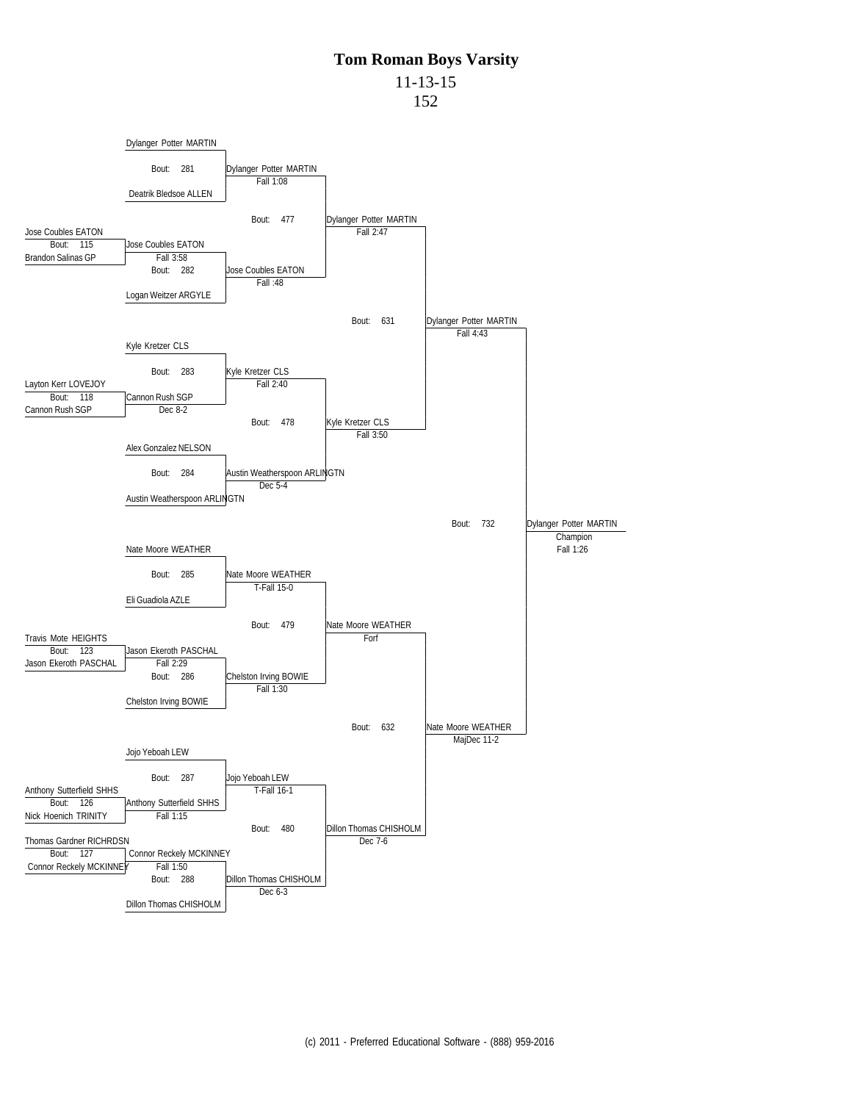11-13-15

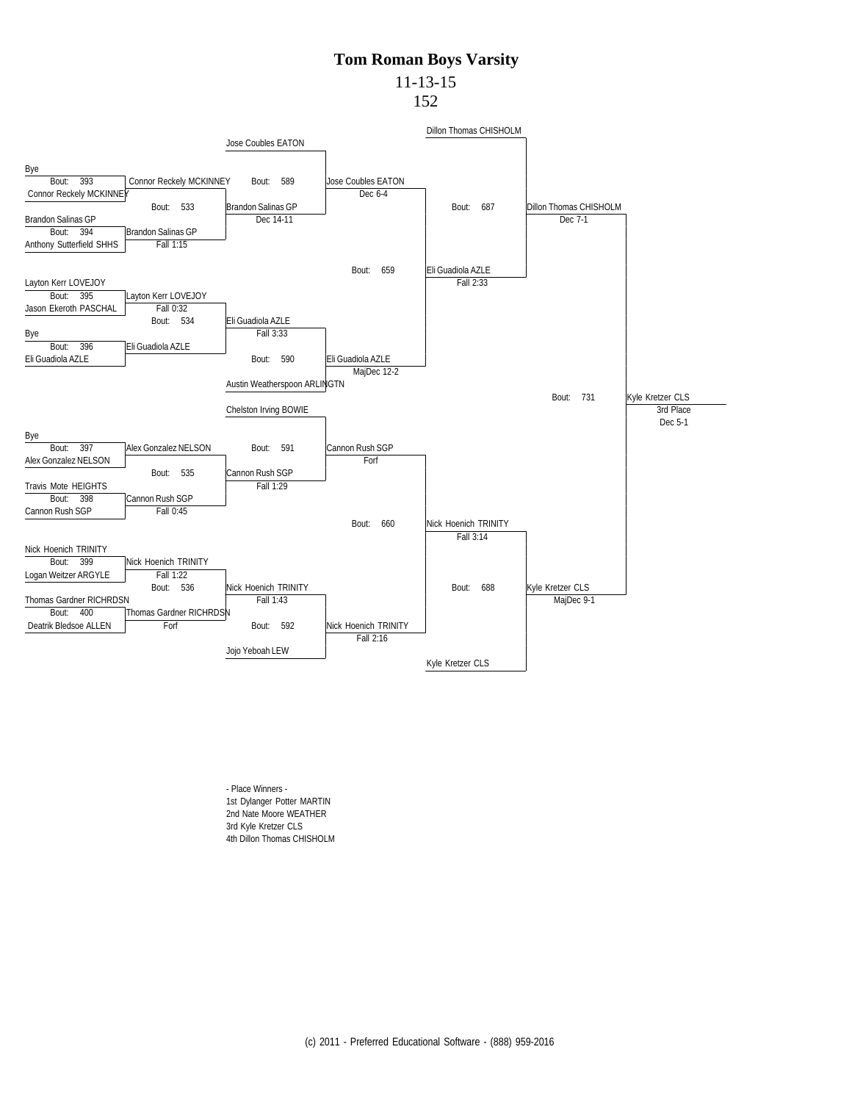## 11-13-15

152



- Place Winners - 1st Dylanger Potter MARTIN 2nd Nate Moore WEATHER 3rd Kyle Kretzer CLS 4th Dillon Thomas CHISHOLM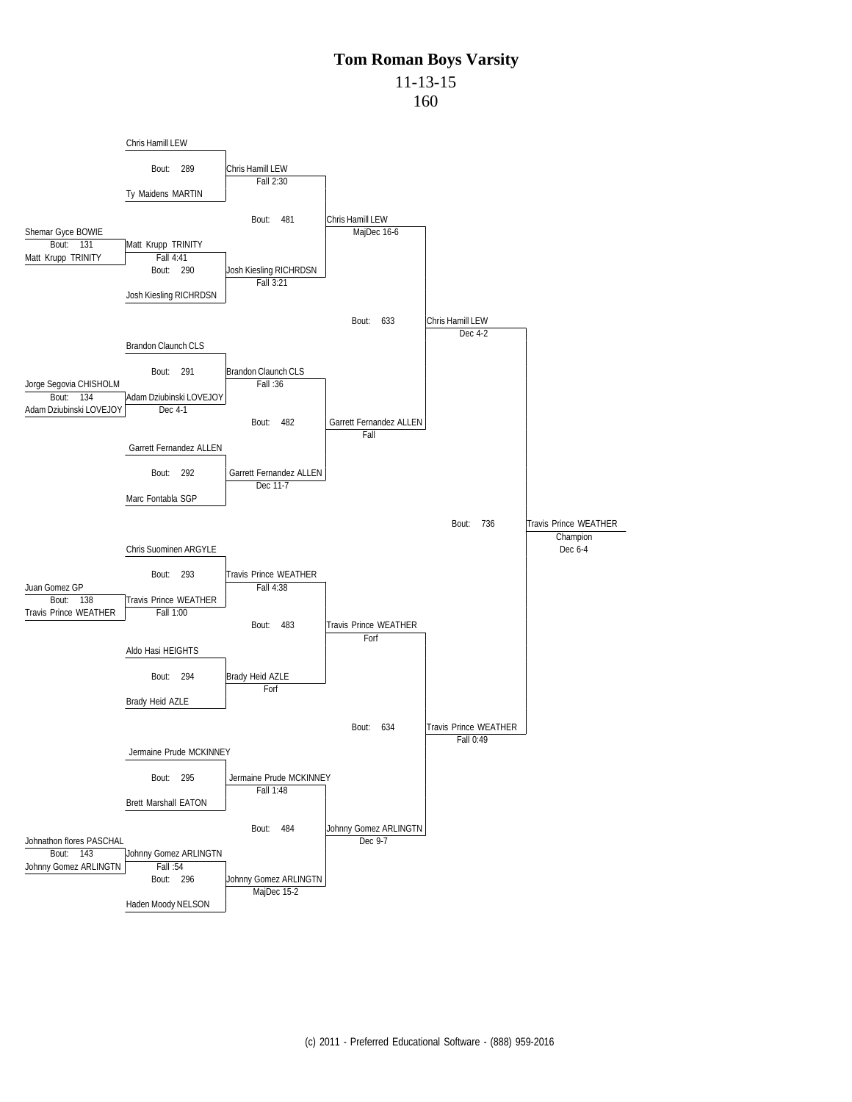11-13-15

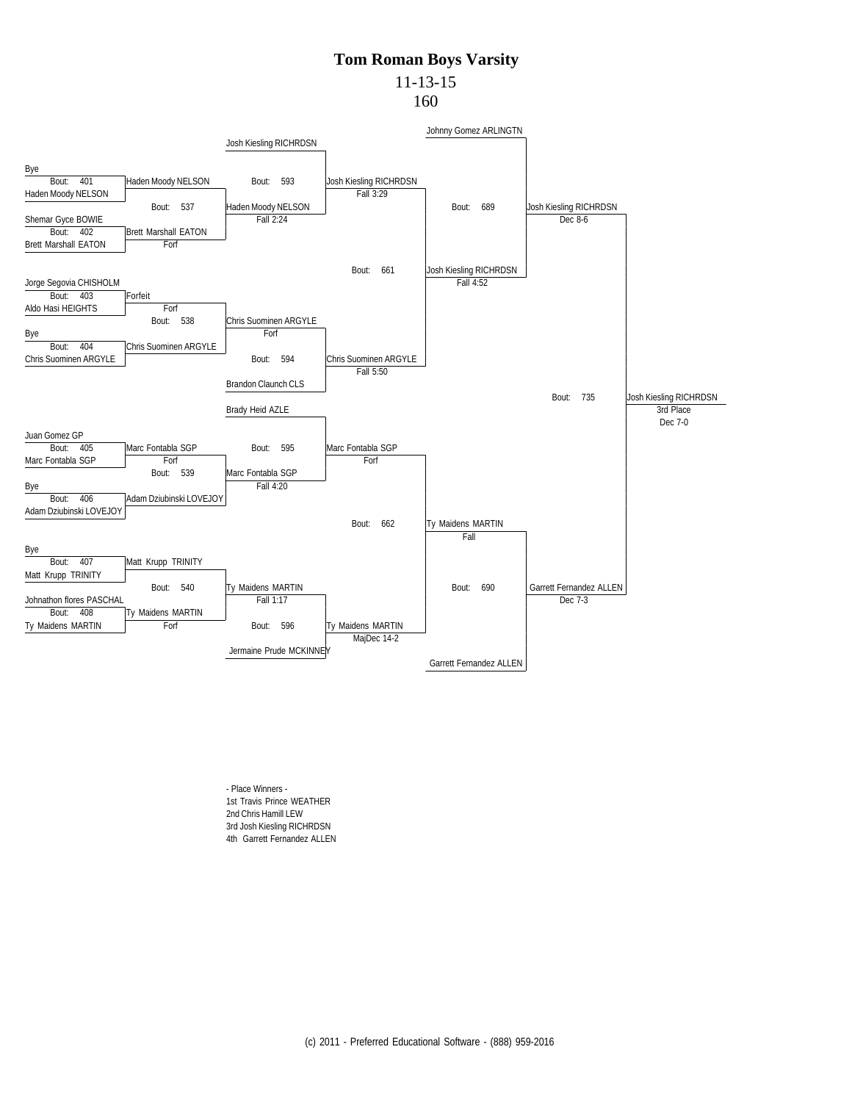### 11-13-15

160



- Place Winners - 1st Travis Prince WEATHER 2nd Chris Hamill LEW 3rd Josh Kiesling RICHRDSN 4th Garrett Fernandez ALLEN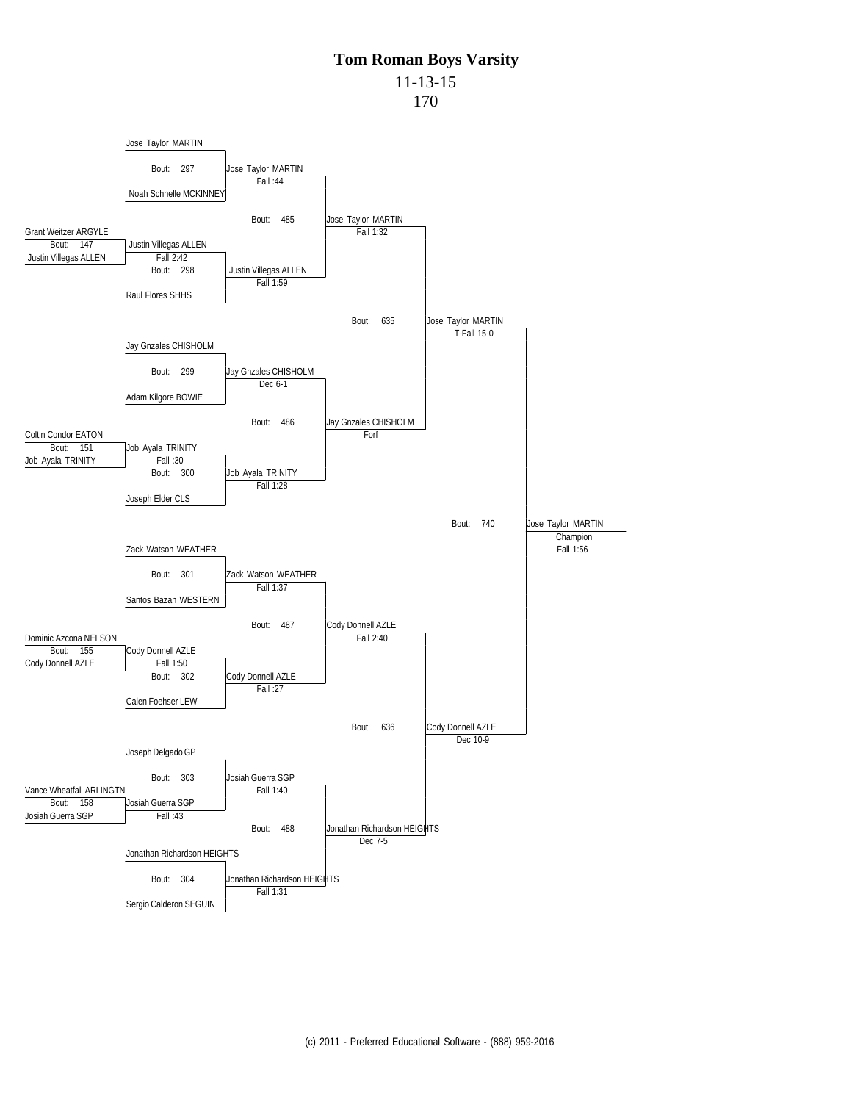11-13-15

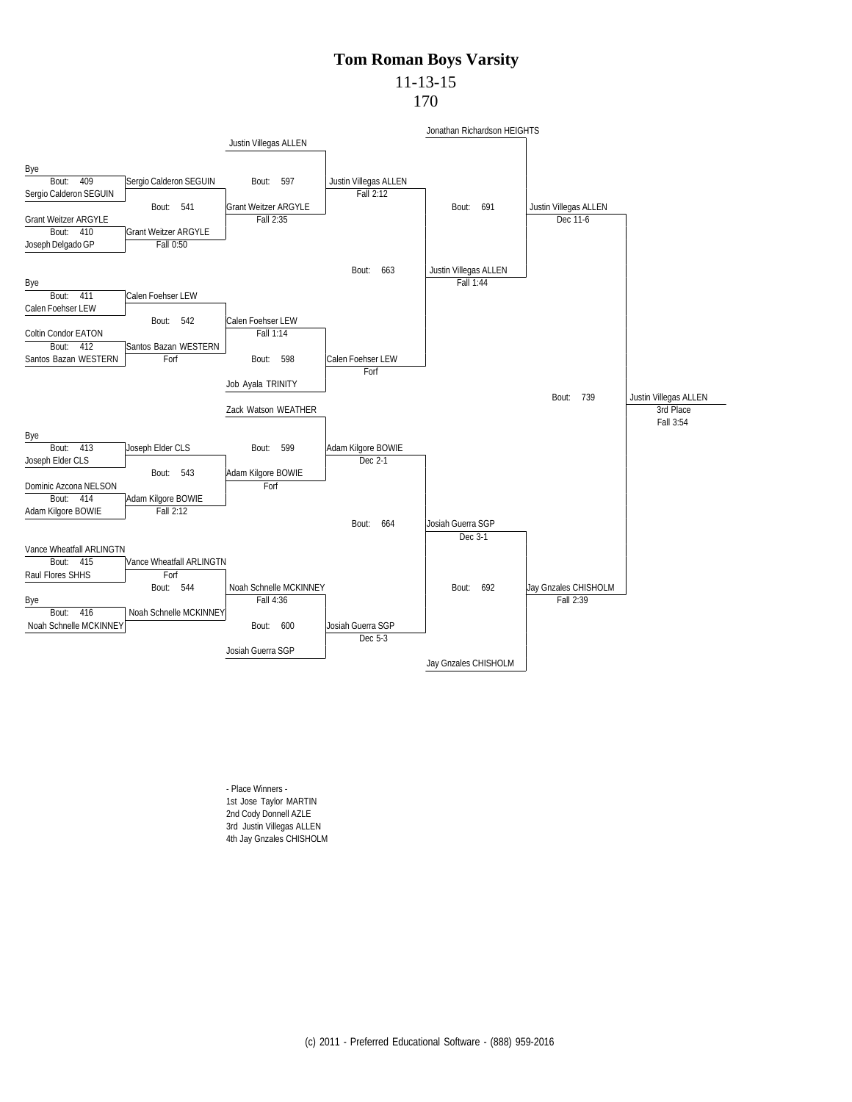#### 11-13-15

170



- Place Winners - 1st Jose Taylor MARTIN 2nd Cody Donnell AZLE 3rd Justin Villegas ALLEN 4th Jay Gnzales CHISHOLM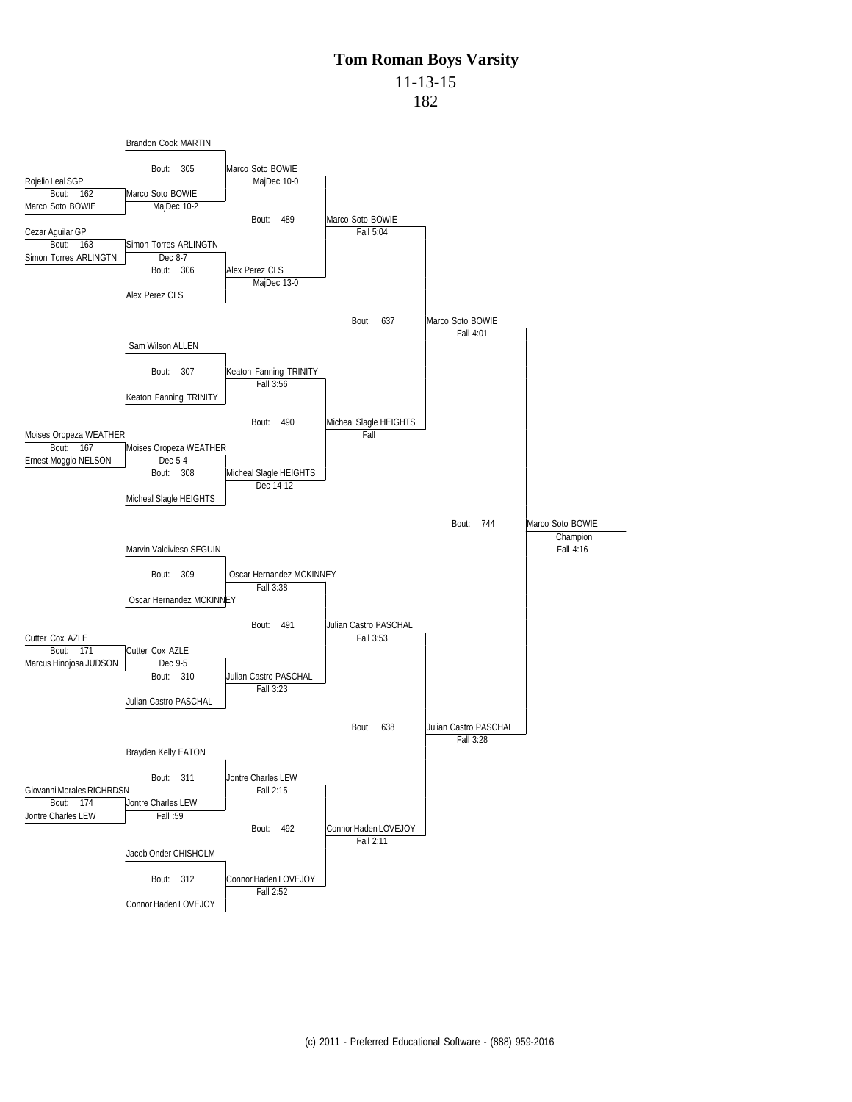11-13-15

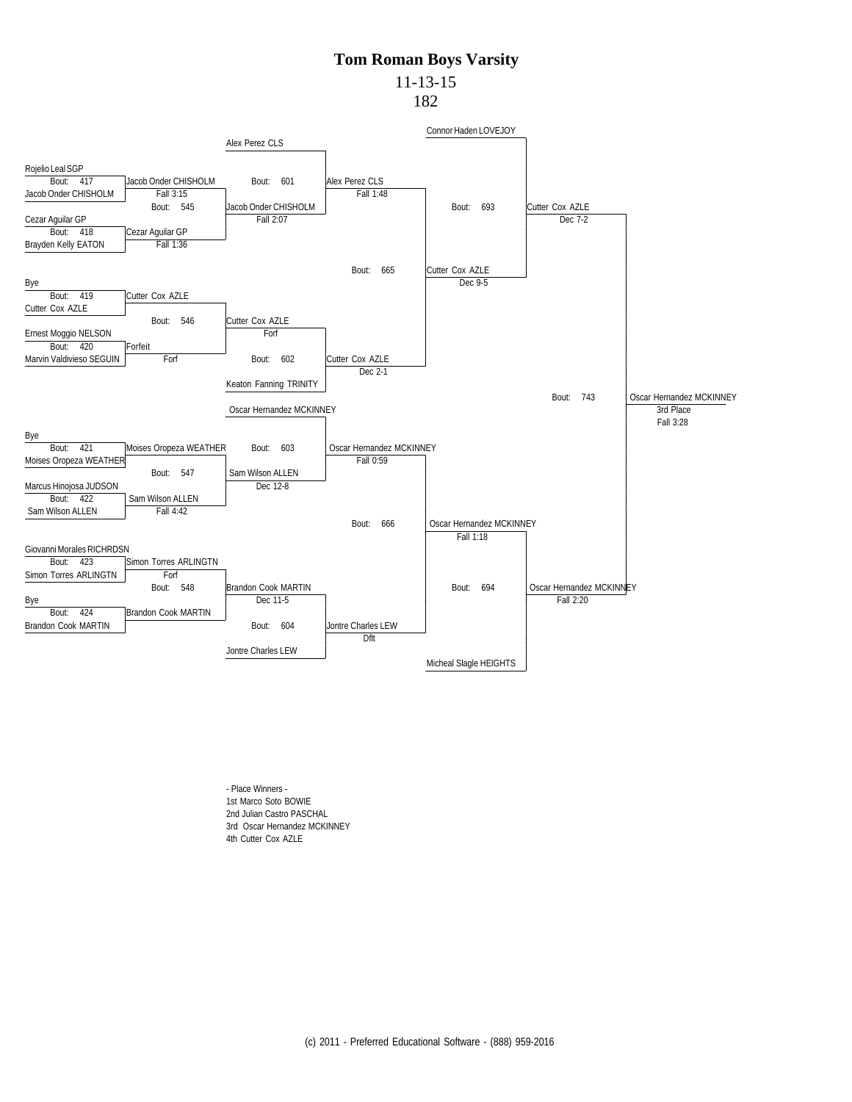# 11-13-15

182



- Place Winners - 1st Marco Soto BOWIE 2nd Julian Castro PASCHAL 3rd Oscar Hernandez MCKINNEY 4th Cutter Cox AZLE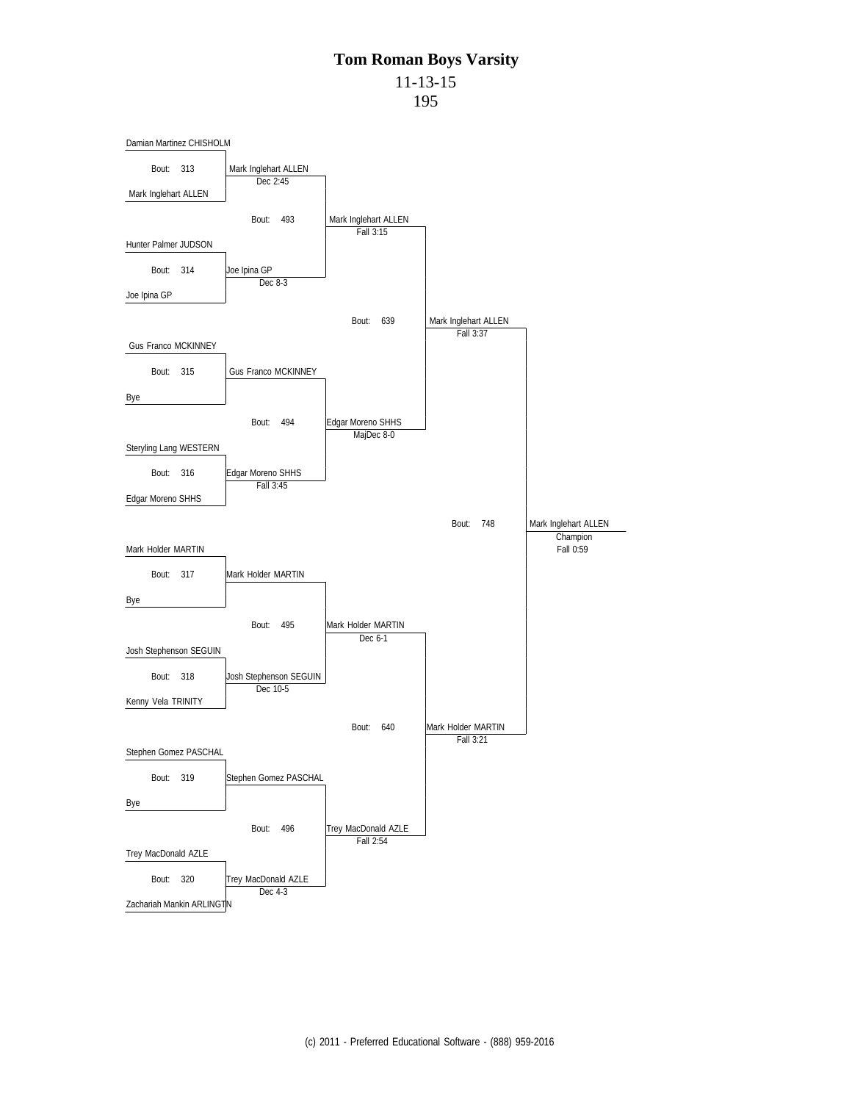## **Tom Roman Boys Varsity** 11-13-15

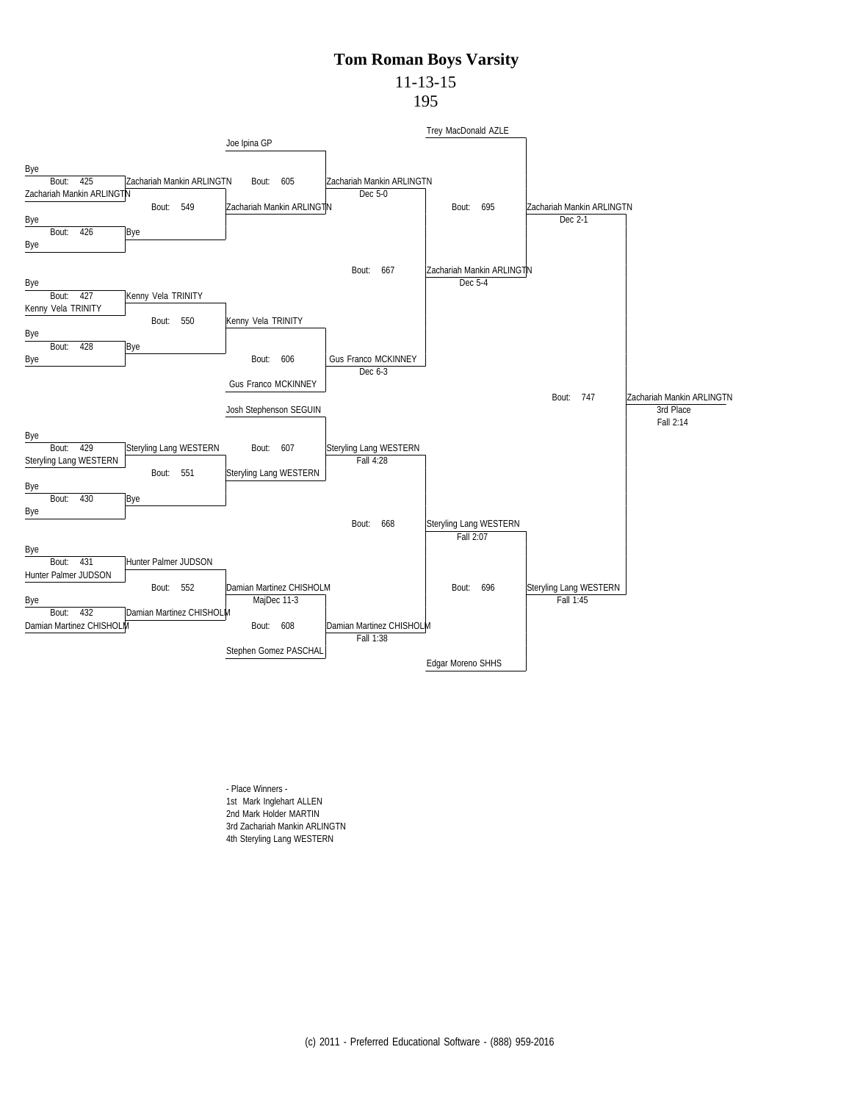11-13-15 195



- Place Winners - 1st Mark Inglehart ALLEN 2nd Mark Holder MARTIN 3rd Zachariah Mankin ARLINGTN 4th Steryling Lang WESTERN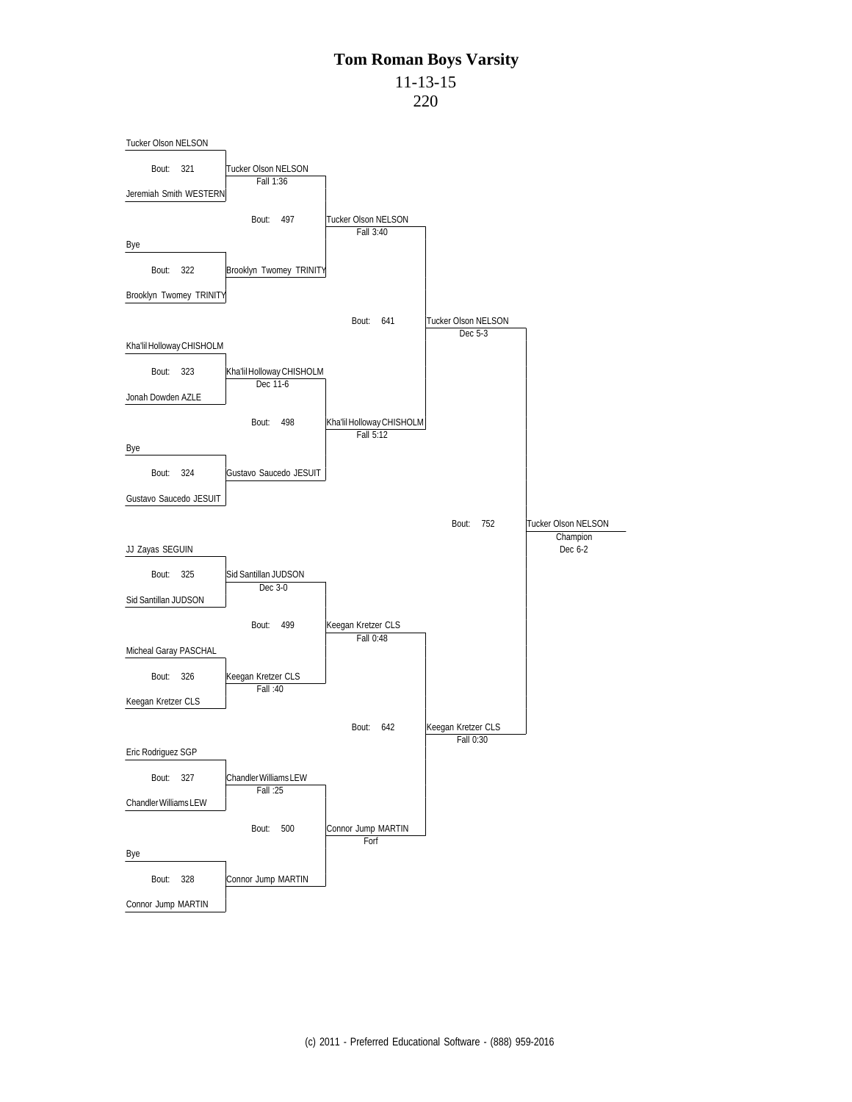11-13-15

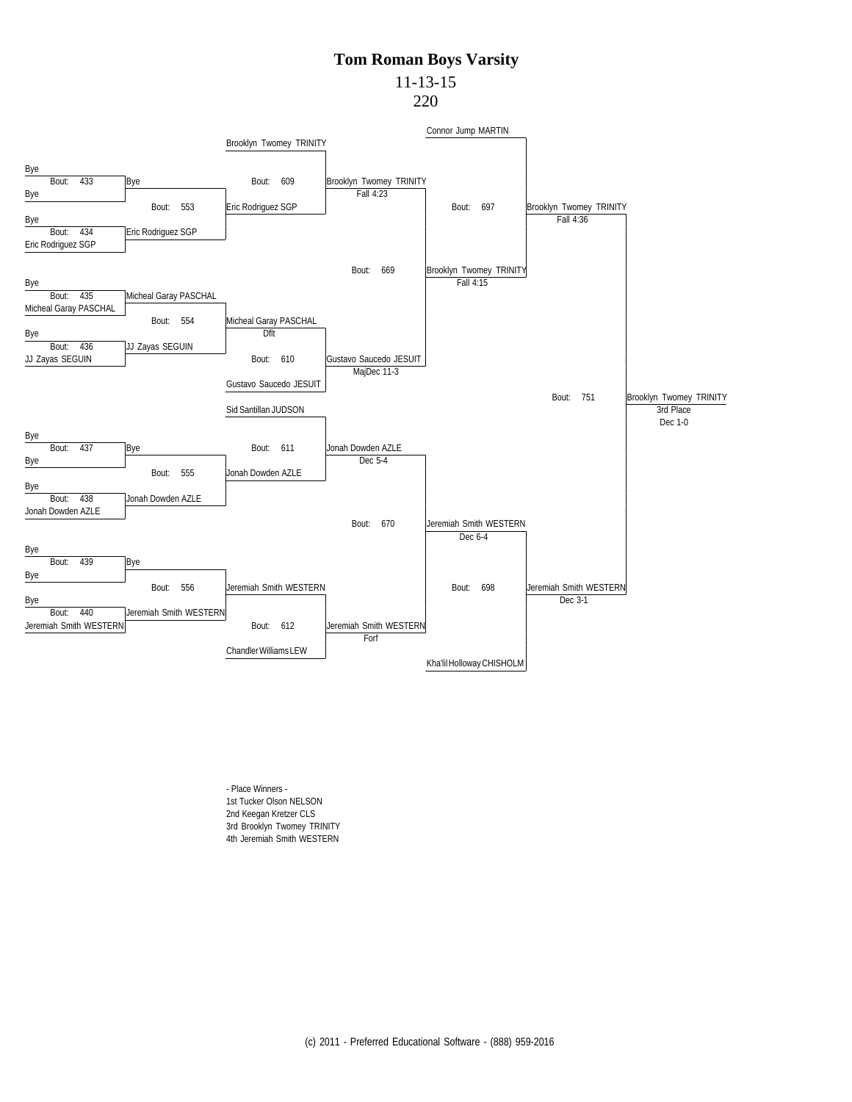## 11-13-15

220



- Place Winners - 1st Tucker Olson NELSON 2nd Keegan Kretzer CLS 3rd Brooklyn Twomey TRINITY 4th Jeremiah Smith WESTERN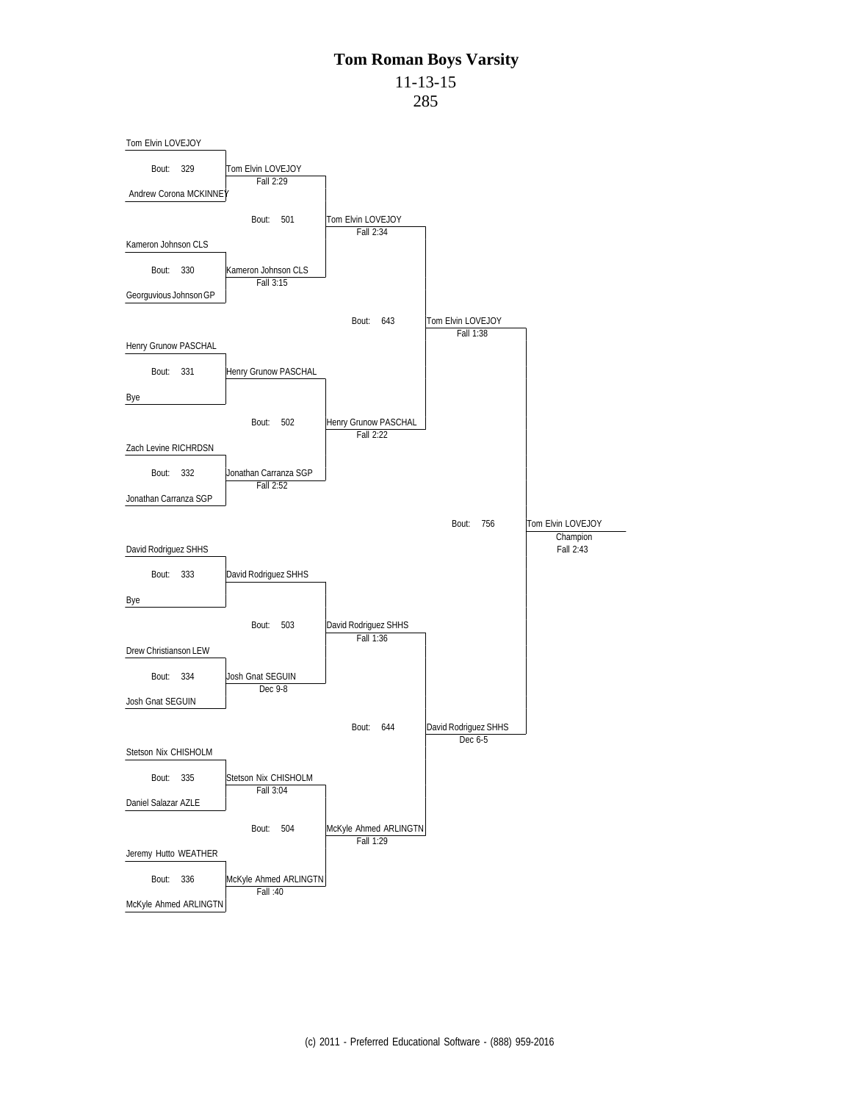11-13-15